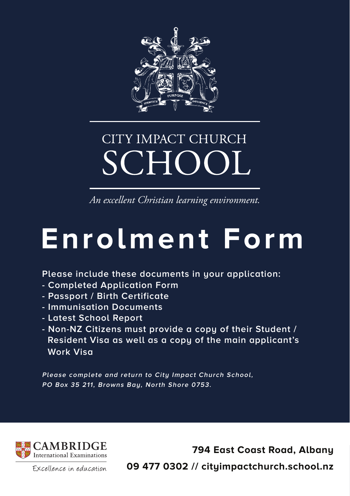

## CITY IMPACT CHURCH **SCHOOL**

*An excellent Christian learning environment.*

# **Enrolment Form**

**Please include these documents in your application:**

- **Completed Application Form**
- **Passport / Birth Certificate**
- **Immunisation Documents**
- **Latest School Report**
- **Non-NZ Citizens must provide a copy of their Student / Resident Visa as well as a copy of the main applicant's Work Visa**

**Please complete and return to City Impact Church School, PO Box 35 211, Browns Bay, North Shore 0753.**



**794 East Coast Road, Albany 09 477 0302 // cityimpactchurch.school.nz**

Excellence in education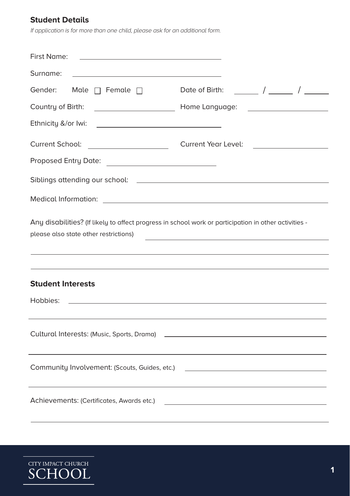#### **Student Details**

If application is for more than one child, please ask for an additional form.

| First Name:                                                                                                                                                                                                                                                           |                                                                            |  |
|-----------------------------------------------------------------------------------------------------------------------------------------------------------------------------------------------------------------------------------------------------------------------|----------------------------------------------------------------------------|--|
| Surname:                                                                                                                                                                                                                                                              |                                                                            |  |
| Gender:<br>Male $\Box$ Female $\Box$                                                                                                                                                                                                                                  | Date of Birth: $\frac{1}{\sqrt{1-\frac{1}{2}}}\int$                        |  |
| Country of Birth:                                                                                                                                                                                                                                                     | Home Language:<br><u> 1980 - Johann Barn, mars ann an t-San A</u>          |  |
| Ethnicity &/or Iwi:                                                                                                                                                                                                                                                   |                                                                            |  |
| Current School:<br><u> 1990 - Jan Alexandria (h. 1980).</u>                                                                                                                                                                                                           | Current Year Level:<br><u> 1989 - Andrea Station Barbara, amerikan per</u> |  |
|                                                                                                                                                                                                                                                                       |                                                                            |  |
|                                                                                                                                                                                                                                                                       |                                                                            |  |
| Medical Information: <u>contract the contract of the contract of the contract of the contract of the contract of the contract of the contract of the contract of the contract of the contract of the contract of the contract of</u>                                  |                                                                            |  |
| Any disabilities? (If likely to affect progress in school work or participation in other activities -<br>please also state other restrictions)                                                                                                                        |                                                                            |  |
| <b>Student Interests</b><br>Hobbies:<br>the control of the control of the control of the control of the control of the control of the control of the control of the control of the control of the control of the control of the control of the control of the control |                                                                            |  |
|                                                                                                                                                                                                                                                                       |                                                                            |  |
| Community Involvement: (Scouts, Guides, etc.)<br><u> 1989 - Andrea Stadt, fransk politiker (d. 1989)</u>                                                                                                                                                              |                                                                            |  |
| Achievements: (Certificates, Awards etc.)<br>the control of the control of the control of the control of the control of                                                                                                                                               |                                                                            |  |

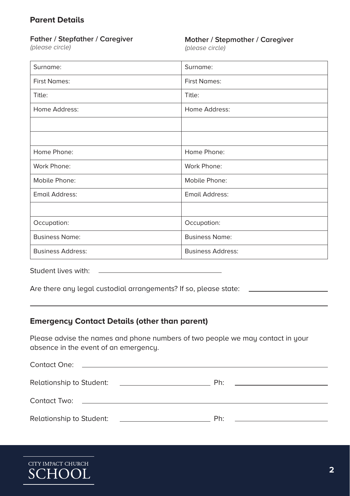#### **Parent Details**

#### **Father / Stepfather / Caregiver**

(please circle)

#### **Mother / Stepmother / Caregiver**

(please circle)

| Surname:                 | Surname:                 |
|--------------------------|--------------------------|
| <b>First Names:</b>      | <b>First Names:</b>      |
| Title:                   | Title:                   |
| Home Address:            | Home Address:            |
|                          |                          |
|                          |                          |
| Home Phone:              | Home Phone:              |
| Work Phone:              | Work Phone:              |
| Mobile Phone:            | Mobile Phone:            |
| Email Address:           | <b>Email Address:</b>    |
|                          |                          |
| Occupation:              | Occupation:              |
| <b>Business Name:</b>    | <b>Business Name:</b>    |
| <b>Business Address:</b> | <b>Business Address:</b> |

Student lives with:

Are there any legal custodial arrangements? If so, please state: \_\_\_\_\_\_\_\_\_\_\_\_\_\_\_

#### **Emergency Contact Details (other than parent)**

Please advise the names and phone numbers of two people we may contact in your absence in the event of an emergency.

| Relationship to Student: |                                                                                                                                                                                                                                | Ph:<br><u> 1980 - Jan Barnett, fransk politik (d. 1980)</u> |
|--------------------------|--------------------------------------------------------------------------------------------------------------------------------------------------------------------------------------------------------------------------------|-------------------------------------------------------------|
|                          | Contact Two: the contact of the contact of the contact of the contact of the contact of the contact of the contact of the contact of the contact of the contact of the contact of the contact of the contact of the contact of |                                                             |
| Relationship to Student: |                                                                                                                                                                                                                                | Ph:<br>the control of the control of the control of the     |

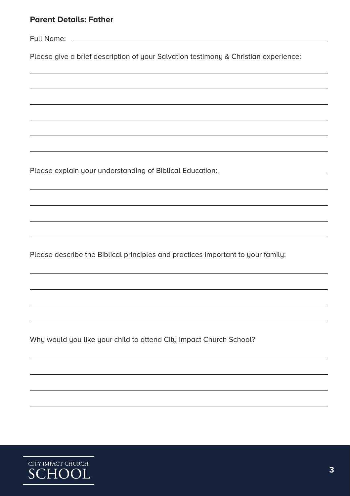Full Name: \_\_\_\_\_\_

Please give a brief description of your Salvation testimony & Christian experience:

Please explain your understanding of Biblical Education: \_\_\_\_\_\_\_\_\_\_\_\_\_\_\_\_\_\_\_\_\_\_\_

Please describe the Biblical principles and practices important to your family:

Why would you like your child to attend City Impact Church School?

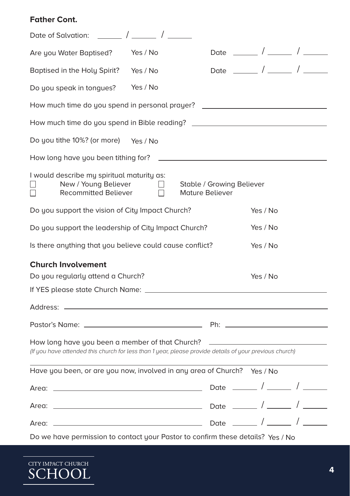#### **Father Cont.**

| Are you Water Baptised?<br>Yes / No                                                                                                                                                                                                                                                                                                                                                                | Date _______ / ______ / ______            |          |  |
|----------------------------------------------------------------------------------------------------------------------------------------------------------------------------------------------------------------------------------------------------------------------------------------------------------------------------------------------------------------------------------------------------|-------------------------------------------|----------|--|
| Baptised in the Holy Spirit? Yes / No                                                                                                                                                                                                                                                                                                                                                              | Date $\frac{1}{\sqrt{1-\frac{1}{2}}}\int$ |          |  |
| Yes / No<br>Do you speak in tongues?                                                                                                                                                                                                                                                                                                                                                               |                                           |          |  |
| How much time do you spend in personal prayer?                                                                                                                                                                                                                                                                                                                                                     |                                           |          |  |
| How much time do you spend in Bible reading? ___________________________________                                                                                                                                                                                                                                                                                                                   |                                           |          |  |
| Do you tithe 10%? (or more)<br>Yes / No                                                                                                                                                                                                                                                                                                                                                            |                                           |          |  |
| How long have you been tithing for?                                                                                                                                                                                                                                                                                                                                                                |                                           |          |  |
| I would describe my spiritual maturity as:<br>New / Young Believer<br>$\Box$<br><b>Recommitted Believer</b><br>Mature Believer<br>П<br>$\vert \ \ \vert$                                                                                                                                                                                                                                           | Stable / Growing Believer                 |          |  |
| Do you support the vision of City Impact Church?                                                                                                                                                                                                                                                                                                                                                   |                                           | Yes / No |  |
| Do you support the leadership of City Impact Church?                                                                                                                                                                                                                                                                                                                                               |                                           | Yes / No |  |
| Is there anything that you believe could cause conflict?<br>Yes / No                                                                                                                                                                                                                                                                                                                               |                                           |          |  |
| <b>Church Involvement</b><br>Do you regularly attend a Church?<br>Yes / No                                                                                                                                                                                                                                                                                                                         |                                           |          |  |
| Address: $-$                                                                                                                                                                                                                                                                                                                                                                                       |                                           |          |  |
|                                                                                                                                                                                                                                                                                                                                                                                                    |                                           |          |  |
| How long have you been a member of that Church?<br><u>and the contract of the contract of the contract of the contract of the contract of the contract of the contract of the contract of the contract of the contract of the contract of the contract of the contract of the contr</u><br>(If you have attended this church for less than 1 year, please provide details of your previous church) |                                           |          |  |
| Have you been, or are you now, involved in any area of Church? Yes / No                                                                                                                                                                                                                                                                                                                            |                                           |          |  |
|                                                                                                                                                                                                                                                                                                                                                                                                    |                                           |          |  |
|                                                                                                                                                                                                                                                                                                                                                                                                    |                                           |          |  |
|                                                                                                                                                                                                                                                                                                                                                                                                    |                                           |          |  |
| Do we have permission to contact your Pastor to confirm these details? Yes / No                                                                                                                                                                                                                                                                                                                    |                                           |          |  |

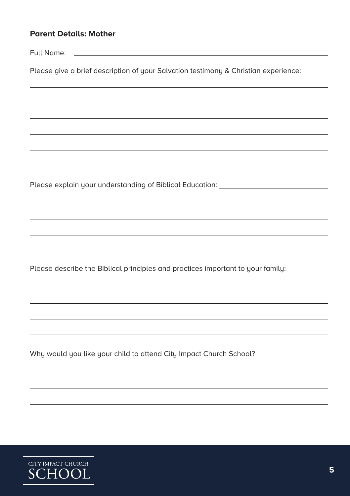|  | <b>Parent Details: Mother</b> |  |
|--|-------------------------------|--|
|--|-------------------------------|--|

Full Name:

Please give a brief description of your Salvation testimony & Christian experience:

Please explain your understanding of Biblical Education: \_\_\_\_\_\_\_\_\_\_\_\_\_\_\_\_\_\_\_\_\_\_\_

Please describe the Biblical principles and practices important to your family:

Why would you like your child to attend City Impact Church School?

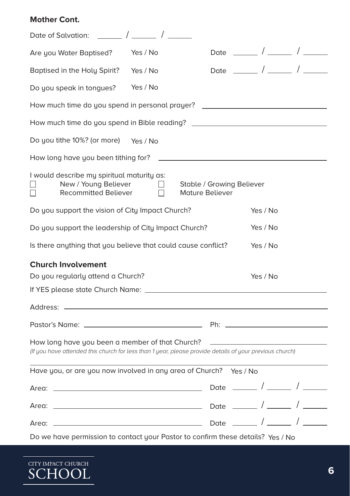#### **Mother Cont.**

| Date of Salvation: $\frac{1}{2}$ / $\frac{1}{2}$ / $\frac{1}{2}$                                                                                           |                                                     |  |  |
|------------------------------------------------------------------------------------------------------------------------------------------------------------|-----------------------------------------------------|--|--|
| Yes / No<br>Are you Water Baptised?                                                                                                                        | Date _______ / ______ / ______                      |  |  |
| Baptised in the Holy Spirit?<br>Yes / No                                                                                                                   |                                                     |  |  |
| Yes / No<br>Do you speak in tongues?                                                                                                                       |                                                     |  |  |
| How much time do you spend in personal prayer? _________________________________                                                                           |                                                     |  |  |
| How much time do you spend in Bible reading? ___________________________________                                                                           |                                                     |  |  |
| Do you tithe 10%? (or more) Yes / No                                                                                                                       |                                                     |  |  |
| How long have you been tithing for?                                                                                                                        |                                                     |  |  |
| I would describe my spiritual maturity as:<br>New / Young Believer<br>$\perp$<br><b>Recommitted Believer</b><br>$\perp$<br>$\perp$                         | Stable / Growing Believer<br><b>Mature Believer</b> |  |  |
| Do you support the vision of City Impact Church?                                                                                                           | Yes / No                                            |  |  |
| Do you support the leadership of City Impact Church?                                                                                                       | Yes / No                                            |  |  |
| Is there anything that you believe that could cause conflict?<br>Yes / No                                                                                  |                                                     |  |  |
| <b>Church Involvement</b><br>Do you regularly attend a Church?<br>Yes / No                                                                                 |                                                     |  |  |
|                                                                                                                                                            |                                                     |  |  |
|                                                                                                                                                            |                                                     |  |  |
| How long have you been a member of that Church?<br>(If you have attended this church for less than 1 year, please provide details of your previous church) |                                                     |  |  |
| Have you, or are you now involved in any area of Church? Yes / No                                                                                          |                                                     |  |  |
| Area: _                                                                                                                                                    |                                                     |  |  |
|                                                                                                                                                            |                                                     |  |  |
|                                                                                                                                                            |                                                     |  |  |
| Do we have permission to contact your Pastor to confirm these details? Yes / No                                                                            |                                                     |  |  |

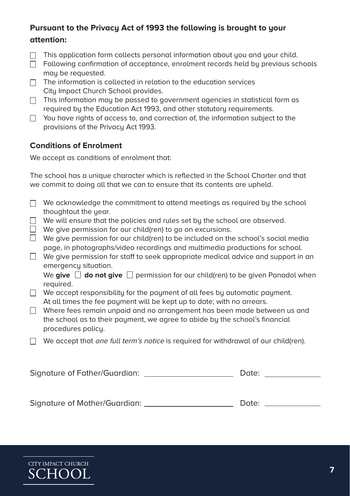#### **Pursuant to the Privacy Act of 1993 the following is brought to your attention:**

- $\Box$  This application form collects personal information about you and your child.
- $\Box$  Following confirmation of acceptance, enrolment records held by previous schools may be requested.
- $\Box$  The information is collected in relation to the education services City Impact Church School provides.
- $\Box$  This information may be passed to government agencies in statistical form as required by the Education Act 1993, and other statutory requirements.
- $\Box$  You have rights of access to, and correction of, the information subject to the provisions of the Privacy Act 1993.

#### **Conditions of Enrolment**

We accept as conditions of enrolment that:

The school has a unique character which is reflected in the School Charter and that we commit to doing all that we can to ensure that its contents are upheld.

- $\Box$  We acknowledge the commitment to attend meetings as required by the school thoughtout the year.
- $\Box$  We will ensure that the policies and rules set bu the school are observed.
- $\overline{\Box}$  We aive permission for our child(ren) to go on excursions.
- $\Box$  We give permission for our child(ren) to be included on the school's social media page, in photographs/video recordings and multimedia productions for school.
- $\Box$  We give permission for staff to seek appropriate medical advice and support in an emergency situation.

We give  $\Box$  do not give  $\Box$  permission for our child(ren) to be given Panadol when required.

- $\Box$  We accept responsibility for the payment of all fees by automatic payment. At all times the fee payment will be kept up to date; with no arrears.
- $\Box$  Where fees remain unpaid and no arrangement has been made between us and the school as to their payment, we agree to abide by the school's financial procedures policy.
- $\Box$  We accept that *one full term's notice* is required for withdrawal of our child(ren).

| Signature of Father/Guardian: | Date: |  |
|-------------------------------|-------|--|
|                               |       |  |

|  | Signature of Mother/Guardian: |  | Date: |
|--|-------------------------------|--|-------|
|--|-------------------------------|--|-------|